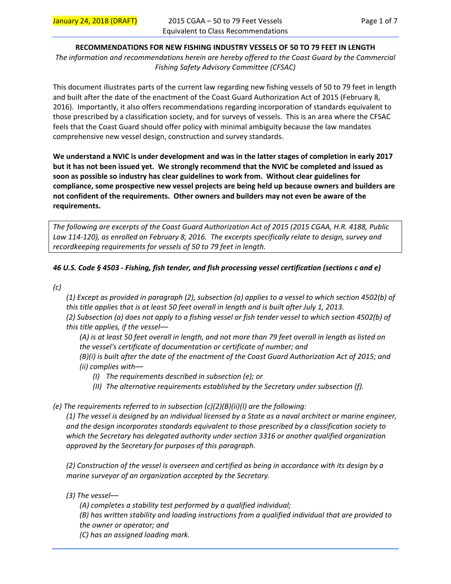# **RECOMMENDATIONS FOR NEW FISHING INDUSTRY VESSELS OF 50 TO 79 FEET IN LENGTH**

*The information and recommendations herein are hereby offered to the Coast Guard by the Commercial Fishing Safety Advisory Committee (CFSAC)* 

This document illustrates parts of the current law regarding new fishing vessels of 50 to 79 feet in length and built after the date of the enactment of the Coast Guard Authorization Act of 2015 (February 8, 2016). Importantly, it also offers recommendations regarding incorporation of standards equivalent to those prescribed by a classification society, and for surveys of vessels. This is an area where the CFSAC feels that the Coast Guard should offer policy with minimal ambiguity because the law mandates comprehensive new vessel design, construction and survey standards.

**We understand a NVIC is under development and was in the latter stages of completion in early 2017 but it has not been issued yet. We strongly recommend that the NVIC be completed and issued as soon as possible so industry has clear guidelines to work from. Without clear guidelines for compliance, some prospective new vessel projects are being held up because owners and builders are not confident of the requirements. Other owners and builders may not even be aware of the requirements.** 

*The following are excerpts of the Coast Guard Authorization Act of 2015 (2015 CGAA, H.R. 4188, Public Law 114‐120), as enrolled on February 8, 2016. The excerpts specifically relate to design, survey and recordkeeping requirements for vessels of 50 to 79 feet in length.* 

# *46 U.S. Code § 4503 ‐ Fishing, fish tender, and fish processing vessel certification (sections c and e)*

*(c)* 

*(1) Except as provided in paragraph (2), subsection (a) applies to a vessel to which section 4502(b) of this title applies that is at least 50 feet overall in length and is built after July 1, 2013. (2) Subsection (a) does not apply to a fishing vessel or fish tender vessel to which section 4502(b) of this title applies, if the vessel––* 

*(A) is at least 50 feet overall in length, and not more than 79 feet overall in length as listed on the vessel's certificate of documentation or certificate of number; and (B)(i) is built after the date of the enactment of the Coast Guard Authorization Act of 2015; and (ii) complies with––* 

- *(I) The requirements described in subsection (e); or*
- *(II) The alternative requirements established by the Secretary under subsection (f).*
- *(e) The requirements referred to in subsection (c)(2)(B)(ii)(I) are the following:*

*(1) The vessel is designed by an individual licensed by a State as a naval architect or marine engineer, and the design incorporates standards equivalent to those prescribed by a classification society to which the Secretary has delegated authority under section 3316 or another qualified organization approved by the Secretary for purposes of this paragraph.* 

*(2) Construction of the vessel is overseen and certified as being in accordance with its design by a marine surveyor of an organization accepted by the Secretary.* 

*(3) The vessel––* 

*(A) completes a stability test performed by a qualified individual; (B) has written stability and loading instructions from a qualified individual that are provided to the owner or operator; and (C) has an assigned loading mark.*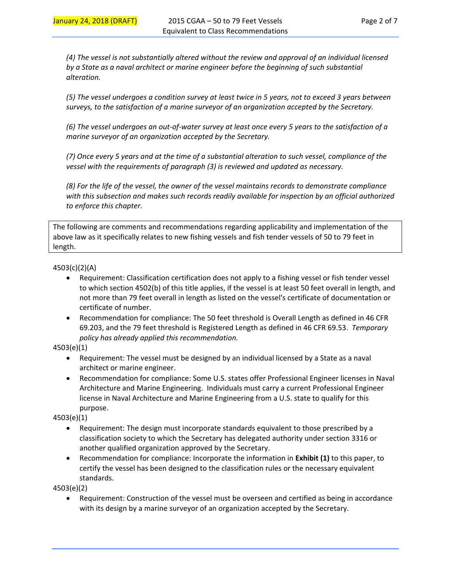*(4) The vessel is not substantially altered without the review and approval of an individual licensed by a State as a naval architect or marine engineer before the beginning of such substantial alteration.* 

*(5) The vessel undergoes a condition survey at least twice in 5 years, not to exceed 3 years between surveys, to the satisfaction of a marine surveyor of an organization accepted by the Secretary.* 

*(6) The vessel undergoes an out‐of‐water survey at least once every 5 years to the satisfaction of a marine surveyor of an organization accepted by the Secretary.* 

*(7) Once every 5 years and at the time of a substantial alteration to such vessel, compliance of the vessel with the requirements of paragraph (3) is reviewed and updated as necessary.* 

*(8) For the life of the vessel, the owner of the vessel maintains records to demonstrate compliance*  with this subsection and makes such records readily available for inspection by an official authorized *to enforce this chapter.* 

The following are comments and recommendations regarding applicability and implementation of the above law as it specifically relates to new fishing vessels and fish tender vessels of 50 to 79 feet in length.

## 4503(c)(2)(A)

- Requirement: Classification certification does not apply to a fishing vessel or fish tender vessel to which section 4502(b) of this title applies, if the vessel is at least 50 feet overall in length, and not more than 79 feet overall in length as listed on the vessel's certificate of documentation or certificate of number.
- Recommendation for compliance: The 50 feet threshold is Overall Length as defined in 46 CFR 69.203, and the 79 feet threshold is Registered Length as defined in 46 CFR 69.53. *Temporary policy has already applied this recommendation.*
- 4503(e)(1)
	- Requirement: The vessel must be designed by an individual licensed by a State as a naval architect or marine engineer.
	- Recommendation for compliance: Some U.S. states offer Professional Engineer licenses in Naval Architecture and Marine Engineering. Individuals must carry a current Professional Engineer license in Naval Architecture and Marine Engineering from a U.S. state to qualify for this purpose.

4503(e)(1)

- Requirement: The design must incorporate standards equivalent to those prescribed by a classification society to which the Secretary has delegated authority under section 3316 or another qualified organization approved by the Secretary.
- Recommendation for compliance: Incorporate the information in **Exhibit (1)** to this paper, to certify the vessel has been designed to the classification rules or the necessary equivalent standards.

4503(e)(2)

 Requirement: Construction of the vessel must be overseen and certified as being in accordance with its design by a marine surveyor of an organization accepted by the Secretary.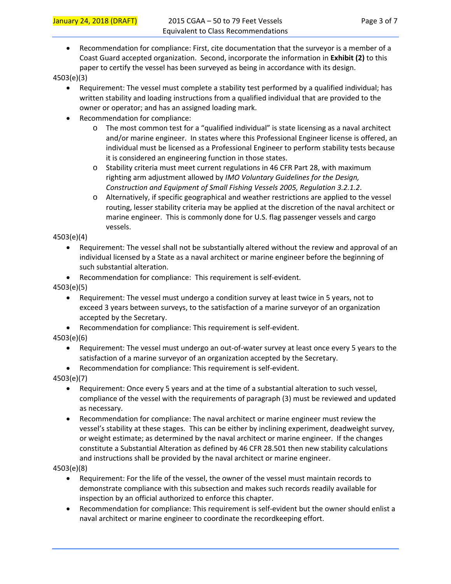Recommendation for compliance: First, cite documentation that the surveyor is a member of a Coast Guard accepted organization. Second, incorporate the information in **Exhibit (2)** to this paper to certify the vessel has been surveyed as being in accordance with its design.

4503(e)(3)

- Requirement: The vessel must complete a stability test performed by a qualified individual; has written stability and loading instructions from a qualified individual that are provided to the owner or operator; and has an assigned loading mark.
- Recommendation for compliance:
	- $\circ$  The most common test for a "qualified individual" is state licensing as a naval architect and/or marine engineer. In states where this Professional Engineer license is offered, an individual must be licensed as a Professional Engineer to perform stability tests because it is considered an engineering function in those states.
	- o Stability criteria must meet current regulations in 46 CFR Part 28, with maximum righting arm adjustment allowed by *IMO Voluntary Guidelines for the Design, Construction and Equipment of Small Fishing Vessels 2005, Regulation 3.2.1.2*.
	- o Alternatively, if specific geographical and weather restrictions are applied to the vessel routing, lesser stability criteria may be applied at the discretion of the naval architect or marine engineer. This is commonly done for U.S. flag passenger vessels and cargo vessels.

4503(e)(4)

- Requirement: The vessel shall not be substantially altered without the review and approval of an individual licensed by a State as a naval architect or marine engineer before the beginning of such substantial alteration.
- Recommendation for compliance: This requirement is self-evident.

4503(e)(5)

- Requirement: The vessel must undergo a condition survey at least twice in 5 years, not to exceed 3 years between surveys, to the satisfaction of a marine surveyor of an organization accepted by the Secretary.
- Recommendation for compliance: This requirement is self-evident.

4503(e)(6)

- Requirement: The vessel must undergo an out‐of‐water survey at least once every 5 years to the satisfaction of a marine surveyor of an organization accepted by the Secretary.
- Recommendation for compliance: This requirement is self-evident.

4503(e)(7)

- Requirement: Once every 5 years and at the time of a substantial alteration to such vessel, compliance of the vessel with the requirements of paragraph (3) must be reviewed and updated as necessary.
- Recommendation for compliance: The naval architect or marine engineer must review the vessel's stability at these stages. This can be either by inclining experiment, deadweight survey, or weight estimate; as determined by the naval architect or marine engineer. If the changes constitute a Substantial Alteration as defined by 46 CFR 28.501 then new stability calculations and instructions shall be provided by the naval architect or marine engineer.

4503(e)(8)

- Requirement: For the life of the vessel, the owner of the vessel must maintain records to demonstrate compliance with this subsection and makes such records readily available for inspection by an official authorized to enforce this chapter.
- Recommendation for compliance: This requirement is self-evident but the owner should enlist a naval architect or marine engineer to coordinate the recordkeeping effort.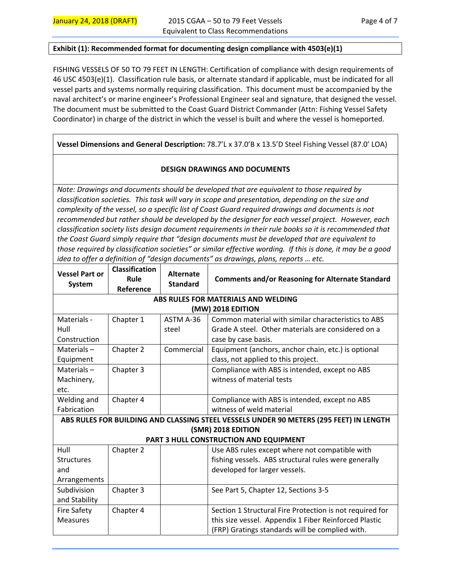#### **Exhibit (1): Recommended format for documenting design compliance with 4503(e)(1)**

FISHING VESSELS OF 50 TO 79 FEET IN LENGTH: Certification of compliance with design requirements of 46 USC 4503(e)(1). Classification rule basis, or alternate standard if applicable, must be indicated for all vessel parts and systems normally requiring classification. This document must be accompanied by the naval architect's or marine engineer's Professional Engineer seal and signature, that designed the vessel. The document must be submitted to the Coast Guard District Commander (Attn: Fishing Vessel Safety Coordinator) in charge of the district in which the vessel is built and where the vessel is homeported.

## **Vessel Dimensions and General Description:** 78.7'L x 37.0'B x 13.5'D Steel Fishing Vessel (87.0' LOA)

## **DESIGN DRAWINGS AND DOCUMENTS**

*Note: Drawings and documents should be developed that are equivalent to those required by classification societies. This task will vary in scope and presentation, depending on the size and complexity of the vessel, so a specific list of Coast Guard required drawings and documents is not recommended but rather should be developed by the designer for each vessel project. However, each classification society lists design document requirements in their rule books so it is recommended that the Coast Guard simply require that "design documents must be developed that are equivalent to those required by classification societies" or similar effective wording. If this is done, it may be a good idea to offer a definition of "design documents" as drawings, plans, reports … etc.* 

| <b>Vessel Part or</b><br><b>System</b>                                                 | <b>Classification</b><br>Rule<br>Reference | <b>Alternate</b><br><b>Standard</b> | <b>Comments and/or Reasoning for Alternate Standard</b>  |  |  |  |  |  |
|----------------------------------------------------------------------------------------|--------------------------------------------|-------------------------------------|----------------------------------------------------------|--|--|--|--|--|
| ABS RULES FOR MATERIALS AND WELDING                                                    |                                            |                                     |                                                          |  |  |  |  |  |
| (MW) 2018 EDITION                                                                      |                                            |                                     |                                                          |  |  |  |  |  |
| Materials -                                                                            | Chapter 1                                  | ASTM A-36                           | Common material with similar characteristics to ABS      |  |  |  |  |  |
| Hull                                                                                   |                                            | steel                               | Grade A steel. Other materials are considered on a       |  |  |  |  |  |
| Construction                                                                           |                                            |                                     | case by case basis.                                      |  |  |  |  |  |
| Materials $-$                                                                          | Chapter 2                                  | Commercial                          | Equipment (anchors, anchor chain, etc.) is optional      |  |  |  |  |  |
| Equipment                                                                              |                                            |                                     | class, not applied to this project.                      |  |  |  |  |  |
| Materials $-$                                                                          | Chapter 3                                  |                                     | Compliance with ABS is intended, except no ABS           |  |  |  |  |  |
| Machinery,                                                                             |                                            |                                     | witness of material tests                                |  |  |  |  |  |
| etc.                                                                                   |                                            |                                     |                                                          |  |  |  |  |  |
| Welding and                                                                            | Chapter 4                                  |                                     | Compliance with ABS is intended, except no ABS           |  |  |  |  |  |
| Fabrication                                                                            |                                            |                                     | witness of weld material                                 |  |  |  |  |  |
| ABS RULES FOR BUILDING AND CLASSING STEEL VESSELS UNDER 90 METERS (295 FEET) IN LENGTH |                                            |                                     |                                                          |  |  |  |  |  |
| (SMR) 2018 EDITION                                                                     |                                            |                                     |                                                          |  |  |  |  |  |
| PART 3 HULL CONSTRUCTION AND EQUIPMENT                                                 |                                            |                                     |                                                          |  |  |  |  |  |
| Hull                                                                                   | Chapter 2                                  |                                     | Use ABS rules except where not compatible with           |  |  |  |  |  |
| <b>Structures</b>                                                                      |                                            |                                     | fishing vessels. ABS structural rules were generally     |  |  |  |  |  |
| and                                                                                    |                                            |                                     | developed for larger vessels.                            |  |  |  |  |  |
| Arrangements                                                                           |                                            |                                     |                                                          |  |  |  |  |  |
| Subdivision                                                                            | Chapter 3                                  |                                     | See Part 5, Chapter 12, Sections 3-5                     |  |  |  |  |  |
| and Stability                                                                          |                                            |                                     |                                                          |  |  |  |  |  |
| <b>Fire Safety</b>                                                                     | Chapter 4                                  |                                     | Section 1 Structural Fire Protection is not required for |  |  |  |  |  |
| <b>Measures</b>                                                                        |                                            |                                     | this size vessel. Appendix 1 Fiber Reinforced Plastic    |  |  |  |  |  |
|                                                                                        |                                            |                                     | (FRP) Gratings standards will be complied with.          |  |  |  |  |  |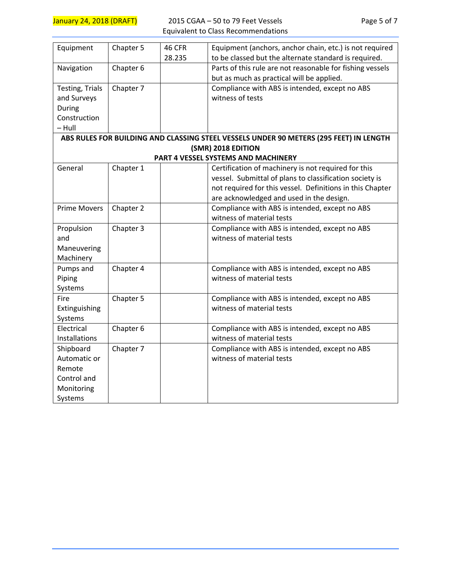| Equipment                                                                                                                                                                                                    | Chapter 5                                        | 46 CFR | Equipment (anchors, anchor chain, etc.) is not required                                                                                                                                                                                                                                                                  |  |  |  |  |
|--------------------------------------------------------------------------------------------------------------------------------------------------------------------------------------------------------------|--------------------------------------------------|--------|--------------------------------------------------------------------------------------------------------------------------------------------------------------------------------------------------------------------------------------------------------------------------------------------------------------------------|--|--|--|--|
|                                                                                                                                                                                                              |                                                  | 28.235 | to be classed but the alternate standard is required.                                                                                                                                                                                                                                                                    |  |  |  |  |
| Navigation                                                                                                                                                                                                   | Chapter 6                                        |        | Parts of this rule are not reasonable for fishing vessels                                                                                                                                                                                                                                                                |  |  |  |  |
|                                                                                                                                                                                                              |                                                  |        | but as much as practical will be applied.                                                                                                                                                                                                                                                                                |  |  |  |  |
| Testing, Trials                                                                                                                                                                                              | Chapter 7                                        |        | Compliance with ABS is intended, except no ABS                                                                                                                                                                                                                                                                           |  |  |  |  |
| and Surveys                                                                                                                                                                                                  |                                                  |        | witness of tests                                                                                                                                                                                                                                                                                                         |  |  |  |  |
| During                                                                                                                                                                                                       |                                                  |        |                                                                                                                                                                                                                                                                                                                          |  |  |  |  |
| Construction                                                                                                                                                                                                 |                                                  |        |                                                                                                                                                                                                                                                                                                                          |  |  |  |  |
| $-$ Hull                                                                                                                                                                                                     |                                                  |        |                                                                                                                                                                                                                                                                                                                          |  |  |  |  |
|                                                                                                                                                                                                              |                                                  |        | ABS RULES FOR BUILDING AND CLASSING STEEL VESSELS UNDER 90 METERS (295 FEET) IN LENGTH                                                                                                                                                                                                                                   |  |  |  |  |
| (SMR) 2018 EDITION                                                                                                                                                                                           |                                                  |        |                                                                                                                                                                                                                                                                                                                          |  |  |  |  |
| PART 4 VESSEL SYSTEMS AND MACHINERY                                                                                                                                                                          |                                                  |        |                                                                                                                                                                                                                                                                                                                          |  |  |  |  |
| General                                                                                                                                                                                                      | Chapter 1                                        |        | Certification of machinery is not required for this                                                                                                                                                                                                                                                                      |  |  |  |  |
|                                                                                                                                                                                                              |                                                  |        | vessel. Submittal of plans to classification society is                                                                                                                                                                                                                                                                  |  |  |  |  |
|                                                                                                                                                                                                              |                                                  |        | not required for this vessel. Definitions in this Chapter                                                                                                                                                                                                                                                                |  |  |  |  |
|                                                                                                                                                                                                              |                                                  |        | are acknowledged and used in the design.                                                                                                                                                                                                                                                                                 |  |  |  |  |
| <b>Prime Movers</b>                                                                                                                                                                                          | Chapter 2                                        |        | Compliance with ABS is intended, except no ABS                                                                                                                                                                                                                                                                           |  |  |  |  |
|                                                                                                                                                                                                              |                                                  |        | witness of material tests                                                                                                                                                                                                                                                                                                |  |  |  |  |
| Propulsion                                                                                                                                                                                                   | Chapter 3                                        |        | Compliance with ABS is intended, except no ABS                                                                                                                                                                                                                                                                           |  |  |  |  |
| and                                                                                                                                                                                                          |                                                  |        | witness of material tests                                                                                                                                                                                                                                                                                                |  |  |  |  |
|                                                                                                                                                                                                              |                                                  |        |                                                                                                                                                                                                                                                                                                                          |  |  |  |  |
|                                                                                                                                                                                                              |                                                  |        |                                                                                                                                                                                                                                                                                                                          |  |  |  |  |
|                                                                                                                                                                                                              |                                                  |        |                                                                                                                                                                                                                                                                                                                          |  |  |  |  |
|                                                                                                                                                                                                              |                                                  |        |                                                                                                                                                                                                                                                                                                                          |  |  |  |  |
|                                                                                                                                                                                                              |                                                  |        |                                                                                                                                                                                                                                                                                                                          |  |  |  |  |
|                                                                                                                                                                                                              |                                                  |        |                                                                                                                                                                                                                                                                                                                          |  |  |  |  |
|                                                                                                                                                                                                              |                                                  |        |                                                                                                                                                                                                                                                                                                                          |  |  |  |  |
|                                                                                                                                                                                                              |                                                  |        |                                                                                                                                                                                                                                                                                                                          |  |  |  |  |
|                                                                                                                                                                                                              |                                                  |        |                                                                                                                                                                                                                                                                                                                          |  |  |  |  |
|                                                                                                                                                                                                              |                                                  |        |                                                                                                                                                                                                                                                                                                                          |  |  |  |  |
|                                                                                                                                                                                                              |                                                  |        |                                                                                                                                                                                                                                                                                                                          |  |  |  |  |
|                                                                                                                                                                                                              |                                                  |        |                                                                                                                                                                                                                                                                                                                          |  |  |  |  |
|                                                                                                                                                                                                              |                                                  |        |                                                                                                                                                                                                                                                                                                                          |  |  |  |  |
|                                                                                                                                                                                                              |                                                  |        |                                                                                                                                                                                                                                                                                                                          |  |  |  |  |
|                                                                                                                                                                                                              |                                                  |        |                                                                                                                                                                                                                                                                                                                          |  |  |  |  |
| Maneuvering<br>Machinery<br>Pumps and<br>Piping<br>Systems<br>Fire<br>Extinguishing<br>Systems<br>Electrical<br>Installations<br>Shipboard<br>Automatic or<br>Remote<br>Control and<br>Monitoring<br>Systems | Chapter 4<br>Chapter 5<br>Chapter 6<br>Chapter 7 |        | Compliance with ABS is intended, except no ABS<br>witness of material tests<br>Compliance with ABS is intended, except no ABS<br>witness of material tests<br>Compliance with ABS is intended, except no ABS<br>witness of material tests<br>Compliance with ABS is intended, except no ABS<br>witness of material tests |  |  |  |  |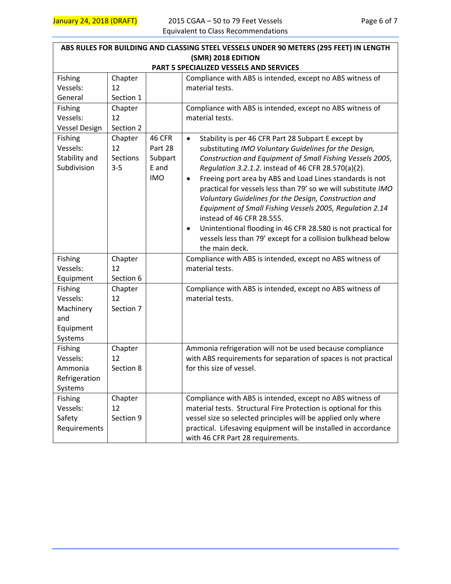| ABS RULES FOR BUILDING AND CLASSING STEEL VESSELS UNDER 90 METERS (295 FEET) IN LENGTH |                                      |                                                            |                                                                                                                                                                                                                                                                                                                                                                                                                                                                                                                                                                                                                                                                                                         |  |  |  |  |  |
|----------------------------------------------------------------------------------------|--------------------------------------|------------------------------------------------------------|---------------------------------------------------------------------------------------------------------------------------------------------------------------------------------------------------------------------------------------------------------------------------------------------------------------------------------------------------------------------------------------------------------------------------------------------------------------------------------------------------------------------------------------------------------------------------------------------------------------------------------------------------------------------------------------------------------|--|--|--|--|--|
| (SMR) 2018 EDITION<br>PART 5 SPECIALIZED VESSELS AND SERVICES                          |                                      |                                                            |                                                                                                                                                                                                                                                                                                                                                                                                                                                                                                                                                                                                                                                                                                         |  |  |  |  |  |
| Fishing<br>Vessels:<br>General                                                         | Chapter<br>12<br>Section 1           |                                                            | Compliance with ABS is intended, except no ABS witness of<br>material tests.                                                                                                                                                                                                                                                                                                                                                                                                                                                                                                                                                                                                                            |  |  |  |  |  |
| Fishing<br>Vessels:<br><b>Vessel Design</b>                                            | Chapter<br>12<br>Section 2           |                                                            | Compliance with ABS is intended, except no ABS witness of<br>material tests.                                                                                                                                                                                                                                                                                                                                                                                                                                                                                                                                                                                                                            |  |  |  |  |  |
| Fishing<br>Vessels:<br>Stability and<br>Subdivision                                    | Chapter<br>12<br>Sections<br>$3 - 5$ | <b>46 CFR</b><br>Part 28<br>Subpart<br>E and<br><b>IMO</b> | Stability is per 46 CFR Part 28 Subpart E except by<br>$\bullet$<br>substituting IMO Voluntary Guidelines for the Design,<br>Construction and Equipment of Small Fishing Vessels 2005,<br>Regulation 3.2.1.2. instead of 46 CFR 28.570(a)(2).<br>Freeing port area by ABS and Load Lines standards is not<br>$\bullet$<br>practical for vessels less than 79' so we will substitute IMO<br>Voluntary Guidelines for the Design, Construction and<br>Equipment of Small Fishing Vessels 2005, Regulation 2.14<br>instead of 46 CFR 28.555.<br>Unintentional flooding in 46 CFR 28.580 is not practical for<br>$\bullet$<br>vessels less than 79' except for a collision bulkhead below<br>the main deck. |  |  |  |  |  |
| Fishing<br>Vessels:<br>Equipment                                                       | Chapter<br>12<br>Section 6           |                                                            | Compliance with ABS is intended, except no ABS witness of<br>material tests.                                                                                                                                                                                                                                                                                                                                                                                                                                                                                                                                                                                                                            |  |  |  |  |  |
| Fishing<br>Vessels:<br>Machinery<br>and<br>Equipment<br>Systems                        | Chapter<br>12<br>Section 7           |                                                            | Compliance with ABS is intended, except no ABS witness of<br>material tests.                                                                                                                                                                                                                                                                                                                                                                                                                                                                                                                                                                                                                            |  |  |  |  |  |
| Fishing<br>Vessels:<br>Ammonia<br>Refrigeration<br>Systems                             | Chapter<br>12<br>Section 8           |                                                            | Ammonia refrigeration will not be used because compliance<br>with ABS requirements for separation of spaces is not practical<br>for this size of vessel.                                                                                                                                                                                                                                                                                                                                                                                                                                                                                                                                                |  |  |  |  |  |
| Fishing<br>Vessels:<br>Safety<br>Requirements                                          | Chapter<br>12<br>Section 9           |                                                            | Compliance with ABS is intended, except no ABS witness of<br>material tests. Structural Fire Protection is optional for this<br>vessel size so selected principles will be applied only where<br>practical. Lifesaving equipment will be installed in accordance<br>with 46 CFR Part 28 requirements.                                                                                                                                                                                                                                                                                                                                                                                                   |  |  |  |  |  |